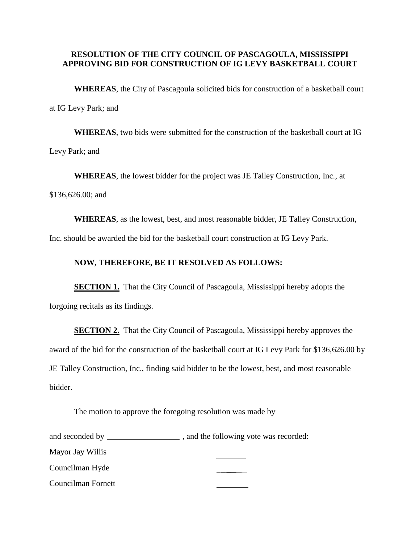## **RESOLUTION OF THE CITY COUNCIL OF PASCAGOULA, MISSISSIPPI APPROVING BID FOR CONSTRUCTION OF IG LEVY BASKETBALL COURT**

**WHEREAS**, the City of Pascagoula solicited bids for construction of a basketball court at IG Levy Park; and

**WHEREAS**, two bids were submitted for the construction of the basketball court at IG Levy Park; and

**WHEREAS**, the lowest bidder for the project was JE Talley Construction, Inc., at

\$136,626.00; and

**WHEREAS**, as the lowest, best, and most reasonable bidder, JE Talley Construction,

Inc. should be awarded the bid for the basketball court construction at IG Levy Park.

## **NOW, THEREFORE, BE IT RESOLVED AS FOLLOWS:**

**SECTION 1.** That the City Council of Pascagoula, Mississippi hereby adopts the forgoing recitals as its findings.

**SECTION 2.** That the City Council of Pascagoula, Mississippi hereby approves the award of the bid for the construction of the basketball court at IG Levy Park for \$136,626.00 by JE Talley Construction, Inc., finding said bidder to be the lowest, best, and most reasonable bidder.

The motion to approve the foregoing resolution was made by

| and seconded by  | , and the following vote was recorded: |  |  |
|------------------|----------------------------------------|--|--|
| Mayor Jay Willis |                                        |  |  |

Councilman Hyde

Councilman Fornett